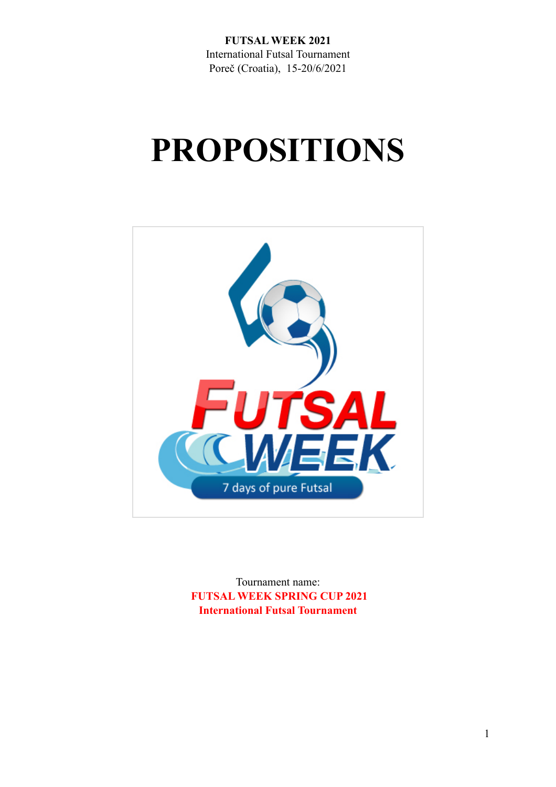**FUTSAL WEEK 2021**  International Futsal Tournament Poreč (Croatia), 15-20/6/2021

# **PROPOSITIONS**



Tournament name:  **FUTSAL WEEK SPRING CUP 2021 International Futsal Tournament**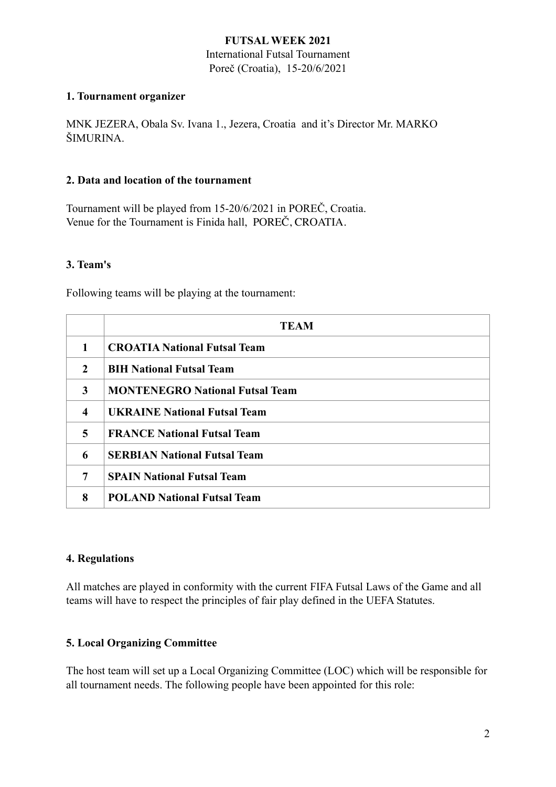#### **FUTSAL WEEK 2021**

International Futsal Tournament Poreč (Croatia), 15-20/6/2021

#### **1. Tournament organizer**

MNK JEZERA, Obala Sv. Ivana 1., Jezera, Croatia and it's Director Mr. MARKO ŠIMURINA.

#### **2. Data and location of the tournament**

Tournament will be played from 15-20/6/2021 in POREČ, Croatia. Venue for the Tournament is Finida hall, POREČ, CROATIA.

#### **3. Team's**

Following teams will be playing at the tournament:

|                     | <b>TEAM</b>                            |  |  |
|---------------------|----------------------------------------|--|--|
| 1                   | <b>CROATIA National Futsal Team</b>    |  |  |
| $\overline{2}$      | <b>BIH National Futsal Team</b>        |  |  |
| 3                   | <b>MONTENEGRO National Futsal Team</b> |  |  |
| $\overline{\bf{4}}$ | <b>UKRAINE National Futsal Team</b>    |  |  |
| 5                   | <b>FRANCE National Futsal Team</b>     |  |  |
| 6                   | <b>SERBIAN National Futsal Team</b>    |  |  |
| 7                   | <b>SPAIN National Futsal Team</b>      |  |  |
| 8                   | <b>POLAND National Futsal Team</b>     |  |  |

#### **4. Regulations**

All matches are played in conformity with the current FIFA Futsal Laws of the Game and all teams will have to respect the principles of fair play defined in the UEFA Statutes.

# **5. Local Organizing Committee**

The host team will set up a Local Organizing Committee (LOC) which will be responsible for all tournament needs. The following people have been appointed for this role: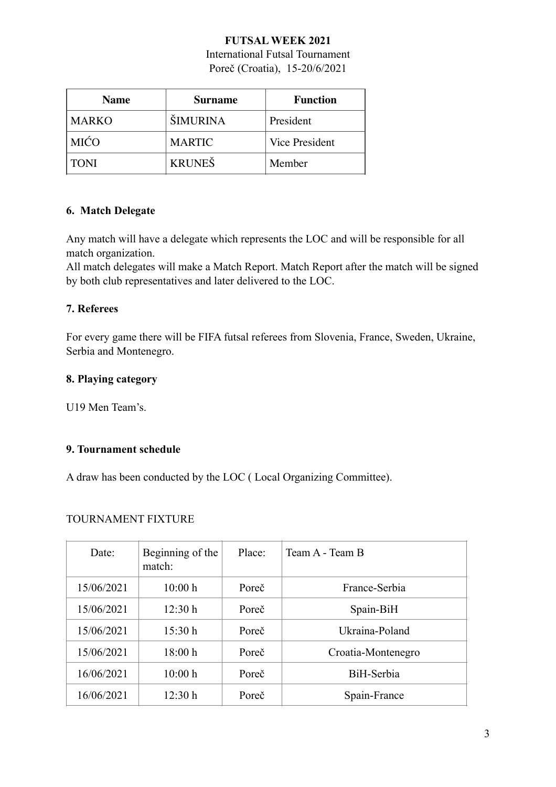# **FUTSAL WEEK 2021**

International Futsal Tournament Poreč (Croatia), 15-20/6/2021

| <b>Name</b>  | Surname         | <b>Function</b>       |
|--------------|-----------------|-----------------------|
| <b>MARKO</b> | <b>ŠIMURINA</b> | President             |
| <b>MIĆO</b>  | <b>MARTIC</b>   | <b>Vice President</b> |
| <b>TONI</b>  | <b>KRUNEŠ</b>   | Member                |

# **6. Match Delegate**

Any match will have a delegate which represents the LOC and will be responsible for all match organization.

All match delegates will make a Match Report. Match Report after the match will be signed by both club representatives and later delivered to the LOC.

#### **7. Referees**

For every game there will be FIFA futsal referees from Slovenia, France, Sweden, Ukraine, Serbia and Montenegro.

#### **8. Playing category**

U19 Men Team's.

# **9. Tournament schedule**

A draw has been conducted by the LOC ( Local Organizing Committee).

#### TOURNAMENT FIXTURE

| Date <sup>·</sup> | Beginning of the<br>match: | Place: | Team A - Team B    |
|-------------------|----------------------------|--------|--------------------|
| 15/06/2021        | 10:00 h                    | Poreč  | France-Serbia      |
| 15/06/2021        | 12:30 h                    | Poreč  | Spain-BiH          |
| 15/06/2021        | 15:30 h                    | Poreč  | Ukraina-Poland     |
| 15/06/2021        | 18:00 h                    | Poreč  | Croatia-Montenegro |
| 16/06/2021        | 10:00 h                    | Poreč  | BiH-Serbia         |
| 16/06/2021        | 12:30 h                    | Poreč  | Spain-France       |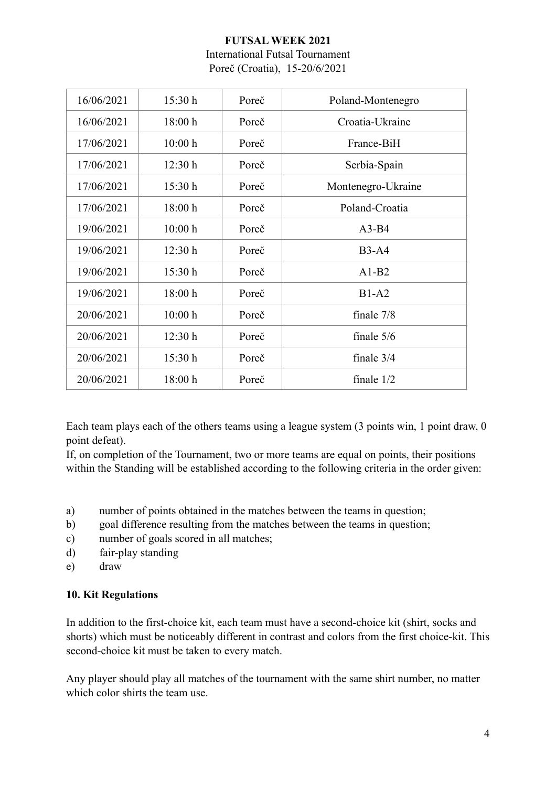# **FUTSAL WEEK 2021**  International Futsal Tournament Poreč (Croatia), 15-20/6/2021

| 16/06/2021 | 15:30 h | Poreč | Poland-Montenegro  |
|------------|---------|-------|--------------------|
| 16/06/2021 | 18:00 h | Poreč | Croatia-Ukraine    |
| 17/06/2021 | 10:00 h | Poreč | France-BiH         |
| 17/06/2021 | 12:30 h | Poreč | Serbia-Spain       |
| 17/06/2021 | 15:30 h | Poreč | Montenegro-Ukraine |
| 17/06/2021 | 18:00 h | Poreč | Poland-Croatia     |
| 19/06/2021 | 10:00 h | Poreč | $A3-B4$            |
| 19/06/2021 | 12:30 h | Poreč | $B3-A4$            |
| 19/06/2021 | 15:30 h | Poreč | $A1-B2$            |
| 19/06/2021 | 18:00 h | Poreč | $B1-A2$            |
| 20/06/2021 | 10:00 h | Poreč | finale 7/8         |
| 20/06/2021 | 12:30 h | Poreč | finale $5/6$       |
| 20/06/2021 | 15:30 h | Poreč | finale $3/4$       |
| 20/06/2021 | 18:00 h | Poreč | finale $1/2$       |
|            |         |       |                    |

Each team plays each of the others teams using a league system (3 points win, 1 point draw, 0 point defeat).

If, on completion of the Tournament, two or more teams are equal on points, their positions within the Standing will be established according to the following criteria in the order given:

- a) number of points obtained in the matches between the teams in question;
- b) goal difference resulting from the matches between the teams in question;
- c) number of goals scored in all matches;
- d) fair-play standing
- e) draw

#### **10. Kit Regulations**

In addition to the first-choice kit, each team must have a second-choice kit (shirt, socks and shorts) which must be noticeably different in contrast and colors from the first choice-kit. This second-choice kit must be taken to every match.

Any player should play all matches of the tournament with the same shirt number, no matter which color shirts the team use.